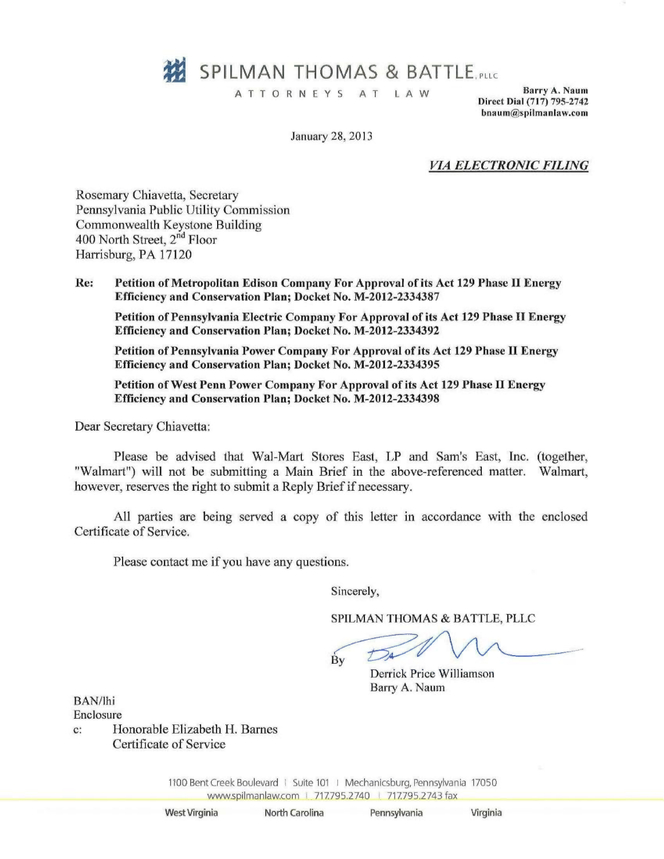

ATTORNEYS AT LAW Barry A. Naum

Direct Dial (717) 795-2742 [bnaum@spilmanlaw.com](mailto:bnaum@spilmanlaw.com)

January 28, 2013

*VIA ELECTRONIC FILING*

Rosemary Chiavetta, Secretary Pennsylvania Public Utility Commission Commonwealth Keystone Building 400 North Street, 2<sup>nd</sup> Floor Harrisburg, PA 17120

Re: Petition of Metropolitan Edison Company For Approval of its Act 129 Phase II Energy Efficiency and Conservation Plan; Docket No. M-2012-2334387

Petition of Pennsylvania Electric Company For Approval of its Act 129 Phase II Energy Efficiency and Conservation Plan; Docket No. M-2012-2334392

Petition of Pennsylvania Power Company For Approval of its Act 129 Phase II Energy Efficiency and Conservation Plan; Docket No. M-2012-2334395

Petition of West Penn Power Company For Approval of its Act 129 Phase IT Energy Efficiency and Conservation Plan; Docket No. M-2012-2334398

Dear Secretary Chiavetta:

Please be advised that Wal-Mart Stores East, LP and Sam's East, Inc. (together "Walmart") will not be submitting a Main Brief in the above-referenced matter. Walmart however, reserves the right to submit a Reply Brief if necessary.

All parties are being served a copy of this letter in accordance with the enclosed Certificate of Service.

Please contact me if you have any questions.

Sincerely,

SPILMAN THOMAS & BATTLE, PLLC

 $\dot{\mathbf{B}}\mathbf{v}$ 

Derrick Price Williamson Barry A. Naum

BAN/ihi

Enclosure

c: Honorable Elizabeth H. Barnes Certificate of Service

> 1100 Bent Creek Boulevard | Suite 101 | Mechanicsburg, Pennsylvania 17050 www.spilmanlaw.com | 717.795.2740 | 717.795.2743 fax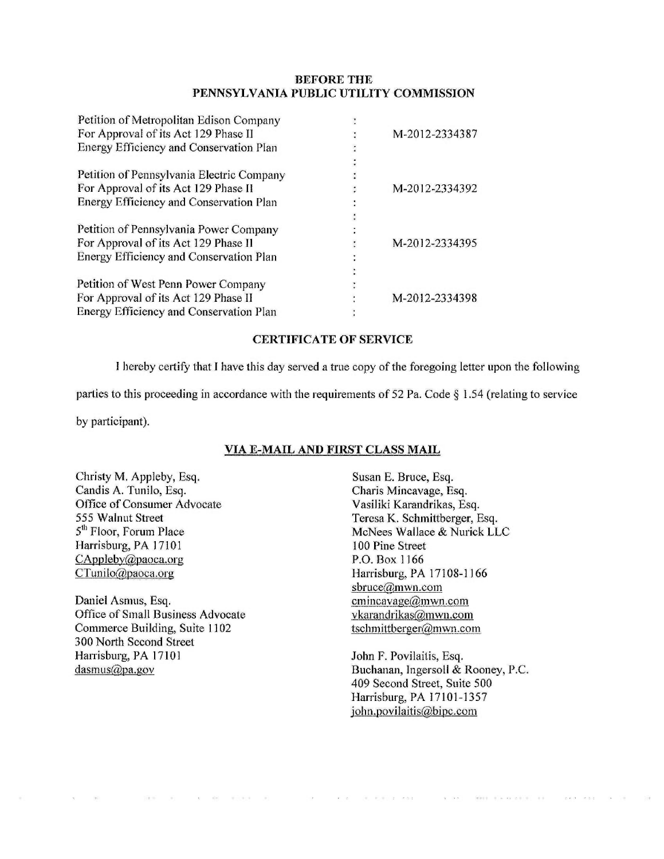## **BEFORE THE** PENNSYLVANIA PUBLIC UTILITY COMMISSION

| Petition of Metropolitan Edison Company   |                |
|-------------------------------------------|----------------|
| For Approval of its Act 129 Phase II      | M-2012-2334387 |
| Energy Efficiency and Conservation Plan   |                |
|                                           |                |
| Petition of Pennsylvania Electric Company |                |
| For Approval of its Act 129 Phase II      | M-2012-2334392 |
| Energy Efficiency and Conservation Plan   |                |
|                                           |                |
| Petition of Pennsylvania Power Company    |                |
| For Approval of its Act 129 Phase II      | M-2012-2334395 |
| Energy Efficiency and Conservation Plan   |                |
|                                           |                |
| Petition of West Penn Power Company       |                |
| For Approval of its Act 129 Phase II      | M-2012-2334398 |
| Energy Efficiency and Conservation Plan   |                |

## CERTIFICATE OF SERVICE

I hereby certify that I have this day served a true copy of the foregoing letter upon the following

parties to this proceeding in accordance with the requirements of 52 Pa. Code § 1.54 (relating to service

by participant).

## VIA E-MAIL AND FIRST CLASS MAIL

Christy M. Appleby, Esq. Candis A. Tunilo, Esq. Office of Consumer Advocate 555 Walnut Street 5<sup>th</sup> Floor, Forum Place Harrisburg, PA 17101 [CAppleby@paoca.org](mailto:CAppleby@paoca.org) [CTunilo@paoca.org](mailto:CTunilo@paoca.org)

Daniel Asmus, Esq. Office of Small Business Advocate Commerce Building, Suite 1102 300 North Second Street Harrisburg, PA 17101 dasmus@pa.gov

> $\sim 10^{-11}$  $\sim$

 $\mathbf{x} = -\mathbf{y} \mathbf{y} = -\mathbf{y} \left( \mathbf{y} \cdot \mathbf{y} + \mathbf{y} \right)$ 

 $\sim$ 

 $\label{eq:2.1} \mathbf{z} = \mathbf{z}^{\top} = \begin{bmatrix} \mathbf{z}^{\top} & \mathbf{z}^{\top} \mathbf{z}^{\top} & \mathbf{z}^{\top} \end{bmatrix} \quad \text{for} \quad \mathbf{z} \in \mathbb{R}^{n}$ 

Susan E. Bruce, Esq. Charis Mincavage, Esq. Vasiliki Karandrikas, Esq. Teresa K. Schmittberger, Esq. McNees Wallace & Nurick LLC 100 Pine Street P.O. Box 1166 Harrisburg, PA 17108-1166 [sbruce@mwn.com](mailto:sbruce@mwn.com) cmincavage@mwn.com [vkarandrikas@mwn.com](mailto:vkarandrikas@mwn.com) tschmittberger@mwn.com

John F. Povilaitis, Esq. Buchanan, Ingersoll & Rooney, P.C. 409 Second Street, Suite 500 Harrisburg, PA 17101-1357 john.povilaitis@bipc.com

a key least six control as

 $\mathcal{L} \times \mathcal{L} = \mathcal{L} \times \mathcal{L}$ 

 $\mathcal{A}^{\prime}$  , and